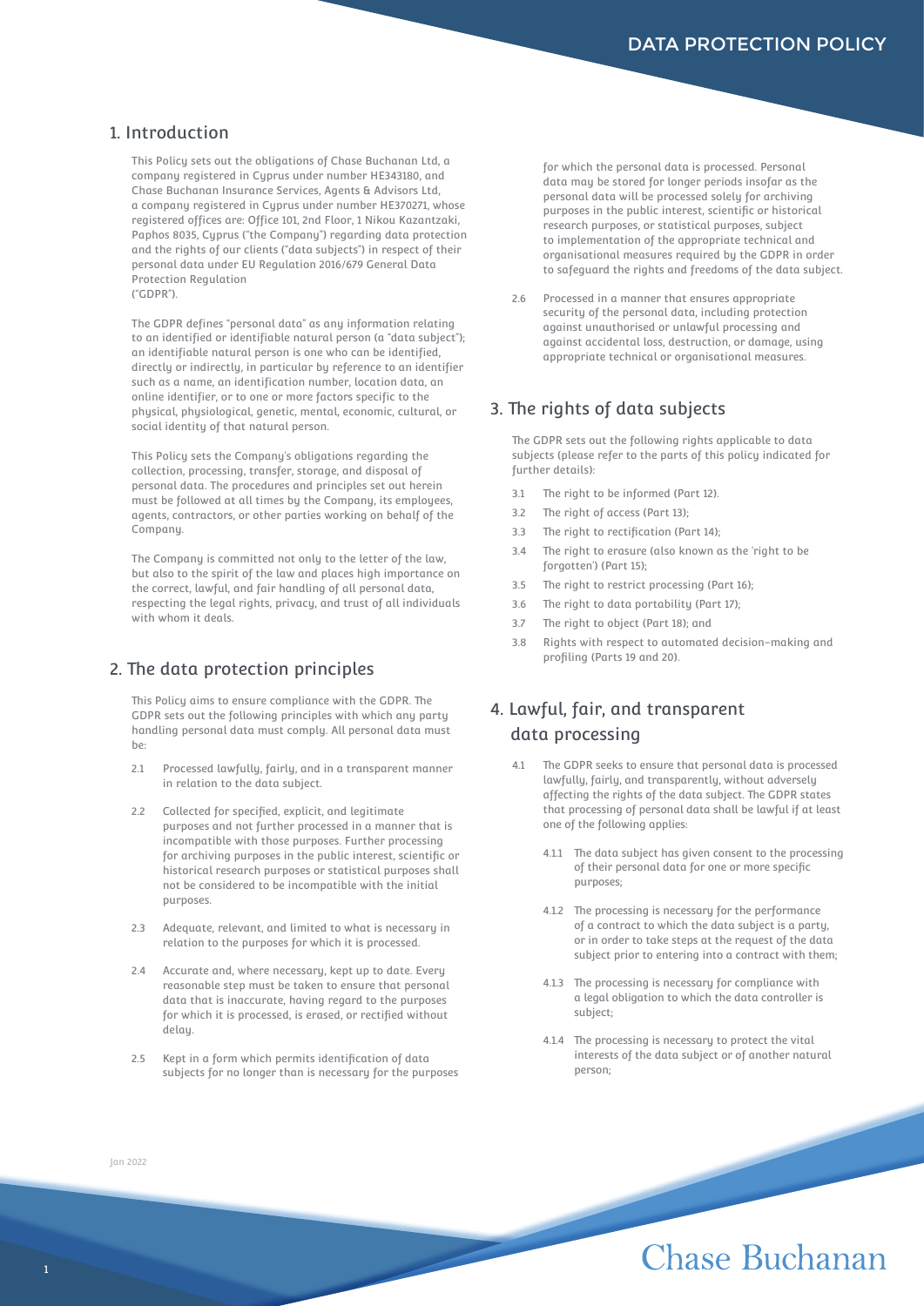### 1. Introduction

This Policy sets out the obligations of Chase Buchanan Ltd, a company registered in Cyprus under number HE343180, and Chase Buchanan Insurance Services, Agents & Advisors Ltd, a company registered in Cyprus under number HE370271, whose registered offices are: Office 101, 2nd Floor, 1 Nikou Kazantzaki, Paphos 8035, Cyprus ("the Company") regarding data protection and the rights of our clients ("data subjects") in respect of their personal data under EU Regulation 2016/679 General Data Protection Regulation ("GDPR").

The GDPR defines "personal data" as any information relating to an identified or identifiable natural person (a "data subject"); an identifiable natural person is one who can be identified, directly or indirectly, in particular by reference to an identifier such as a name, an identification number, location data, an online identifier, or to one or more factors specific to the physical, physiological, genetic, mental, economic, cultural, or social identity of that natural person.

This Policy sets the Company's obligations regarding the collection, processing, transfer, storage, and disposal of personal data. The procedures and principles set out herein must be followed at all times by the Company, its employees, agents, contractors, or other parties working on behalf of the Company.

The Company is committed not only to the letter of the law, but also to the spirit of the law and places high importance on the correct, lawful, and fair handling of all personal data, respecting the legal rights, privacy, and trust of all individuals with whom it deals.

### 2. The data protection principles

This Policy aims to ensure compliance with the GDPR. The GDPR sets out the following principles with which any party handling personal data must comply. All personal data must  $he:$ 

- 2.1 Processed lawfully, fairly, and in a transparent manner in relation to the data subject.
- 2.2 Collected for specified, explicit, and legitimate purposes and not further processed in a manner that is incompatible with those purposes. Further processing for archiving purposes in the public interest, scientific or historical research purposes or statistical purposes shall not be considered to be incompatible with the initial purposes.
- 2.3 Adequate, relevant, and limited to what is necessary in relation to the purposes for which it is processed.
- 2.4 Accurate and, where necessary, kept up to date. Every reasonable step must be taken to ensure that personal data that is inaccurate, having regard to the purposes for which it is processed, is erased, or rectified without delay.
- 2.5 Kept in a form which permits identification of data subjects for no longer than is necessary for the purposes

for which the personal data is processed. Personal data may be stored for longer periods insofar as the personal data will be processed solely for archiving purposes in the public interest, scientific or historical research purposes, or statistical purposes, subject to implementation of the appropriate technical and organisational measures required by the GDPR in order to safeguard the rights and freedoms of the data subject.

2.6 Processed in a manner that ensures appropriate security of the personal data, including protection against unauthorised or unlawful processing and against accidental loss, destruction, or damage, using appropriate technical or organisational measures.

### 3. The rights of data subjects

The GDPR sets out the following rights applicable to data subjects (please refer to the parts of this policy indicated for further details):

- 3.1 The right to be informed (Part 12).
- 3.2 The right of access (Part 13);
- 3.3 The right to rectification (Part 14):
- 3.4 The right to erasure (also known as the 'right to be forgotten') (Part 15);
- 3.5 The right to restrict processing (Part 16);
- 3.6 The right to data portability (Part 17);
- 3.7 The right to object (Part 18); and
- 3.8 Rights with respect to automated decision-making and profiling (Parts 19 and 20).

## 4. Lawful, fair, and transparent data processing

- The GDPR seeks to ensure that personal data is processed lawfully, fairly, and transparently, without adversely affecting the rights of the data subject. The GDPR states that processing of personal data shall be lawful if at least one of the following applies:
	- 4.1.1 The data subject has given consent to the processing of their personal data for one or more specific purposes;
	- 4.1.2 The processing is necessary for the performance of a contract to which the data subject is a party, or in order to take steps at the request of the data subject prior to entering into a contract with them;
	- 4.1.3 The processing is necessary for compliance with a legal obligation to which the data controller is subject;
	- 4.1.4 The processing is necessary to protect the vital interests of the data subject or of another natural person;

#### Jan 2022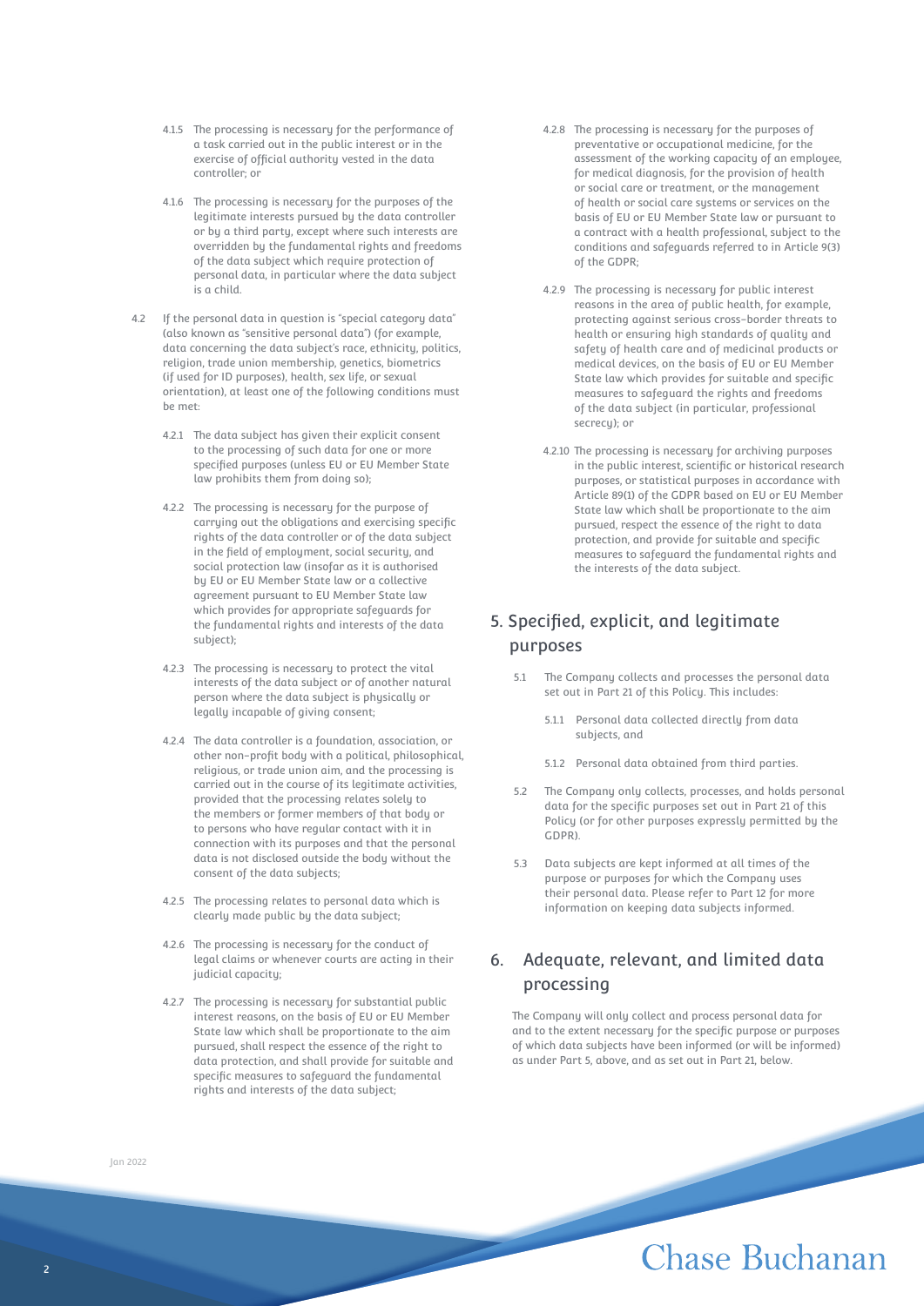- 4.1.5 The processing is necessary for the performance of a task carried out in the public interest or in the exercise of official authority vested in the data controller; or
- 4.1.6 The processing is necessary for the purposes of the legitimate interests pursued by the data controller or by a third party, except where such interests are overridden by the fundamental rights and freedoms of the data subject which require protection of personal data, in particular where the data subject is a child.
- 4.2 If the personal data in question is "special category data" (also known as "sensitive personal data") (for example, data concerning the data subject's race, ethnicity, politics, religion, trade union membership, genetics, biometrics (if used for ID purposes), health, sex life, or sexual orientation), at least one of the following conditions must be met:
	- 4.2.1 The data subject has given their explicit consent to the processing of such data for one or more specified purposes (unless EU or EU Member State law prohibits them from doing so);
	- 4.2.2 The processing is necessary for the purpose of carrying out the obligations and exercising specific rights of the data controller or of the data subject in the field of employment, social security, and social protection law (insofar as it is authorised by EU or EU Member State law or a collective agreement pursuant to EU Member State law which provides for appropriate safeguards for the fundamental rights and interests of the data subject);
	- 4.2.3 The processing is necessary to protect the vital interests of the data subject or of another natural person where the data subject is physically or legally incapable of giving consent;
	- 4.2.4 The data controller is a foundation, association, or other non-profit body with a political, philosophical, religious, or trade union aim, and the processing is carried out in the course of its legitimate activities, provided that the processing relates solely to the members or former members of that body or to persons who have regular contact with it in connection with its purposes and that the personal data is not disclosed outside the body without the consent of the data subjects;
	- 4.2.5 The processing relates to personal data which is clearly made public by the data subject;
	- 4.2.6 The processing is necessary for the conduct of legal claims or whenever courts are acting in their judicial capacity;
	- 4.2.7 The processing is necessary for substantial public interest reasons, on the basis of EU or EU Member State law which shall be proportionate to the aim pursued, shall respect the essence of the right to data protection, and shall provide for suitable and specific measures to safeguard the fundamental rights and interests of the data subject;
- 4.2.8 The processing is necessary for the purposes of preventative or occupational medicine, for the assessment of the working capacity of an employee, for medical diagnosis, for the provision of health or social care or treatment, or the management of health or social care systems or services on the basis of EU or EU Member State law or pursuant to a contract with a health professional, subject to the conditions and safeguards referred to in Article 9(3) of the GDPR;
- 4.2.9 The processing is necessary for public interest reasons in the area of public health, for example, protecting against serious cross-border threats to health or ensuring high standards of quality and safety of health care and of medicinal products or medical devices, on the basis of EU or EU Member State law which provides for suitable and specific measures to safeguard the rights and freedoms of the data subject (in particular, professional secrecy); or
- 4.2.10 The processing is necessary for archiving purposes in the public interest, scientific or historical research purposes, or statistical purposes in accordance with Article 89(1) of the GDPR based on EU or EU Member State law which shall be proportionate to the aim pursued, respect the essence of the right to data protection, and provide for suitable and specific measures to safeguard the fundamental rights and the interests of the data subject.

## 5. Specified, explicit, and legitimate purposes

- 5.1 The Company collects and processes the personal data set out in Part 21 of this Policy. This includes:
	- 5.1.1 Personal data collected directly from data subjects, and
	- 5.1.2 Personal data obtained from third parties.
- 5.2 The Company only collects, processes, and holds personal data for the specific purposes set out in Part 21 of this Policy (or for other purposes expressly permitted by the GDPR).
- 5.3 Data subjects are kept informed at all times of the purpose or purposes for which the Company uses their personal data. Please refer to Part 12 for more information on keeping data subjects informed.

## 6. Adequate, relevant, and limited data processing

The Company will only collect and process personal data for and to the extent necessary for the specific purpose or purposes of which data subjects have been informed (or will be informed) as under Part 5, above, and as set out in Part 21, below.

Jan 2022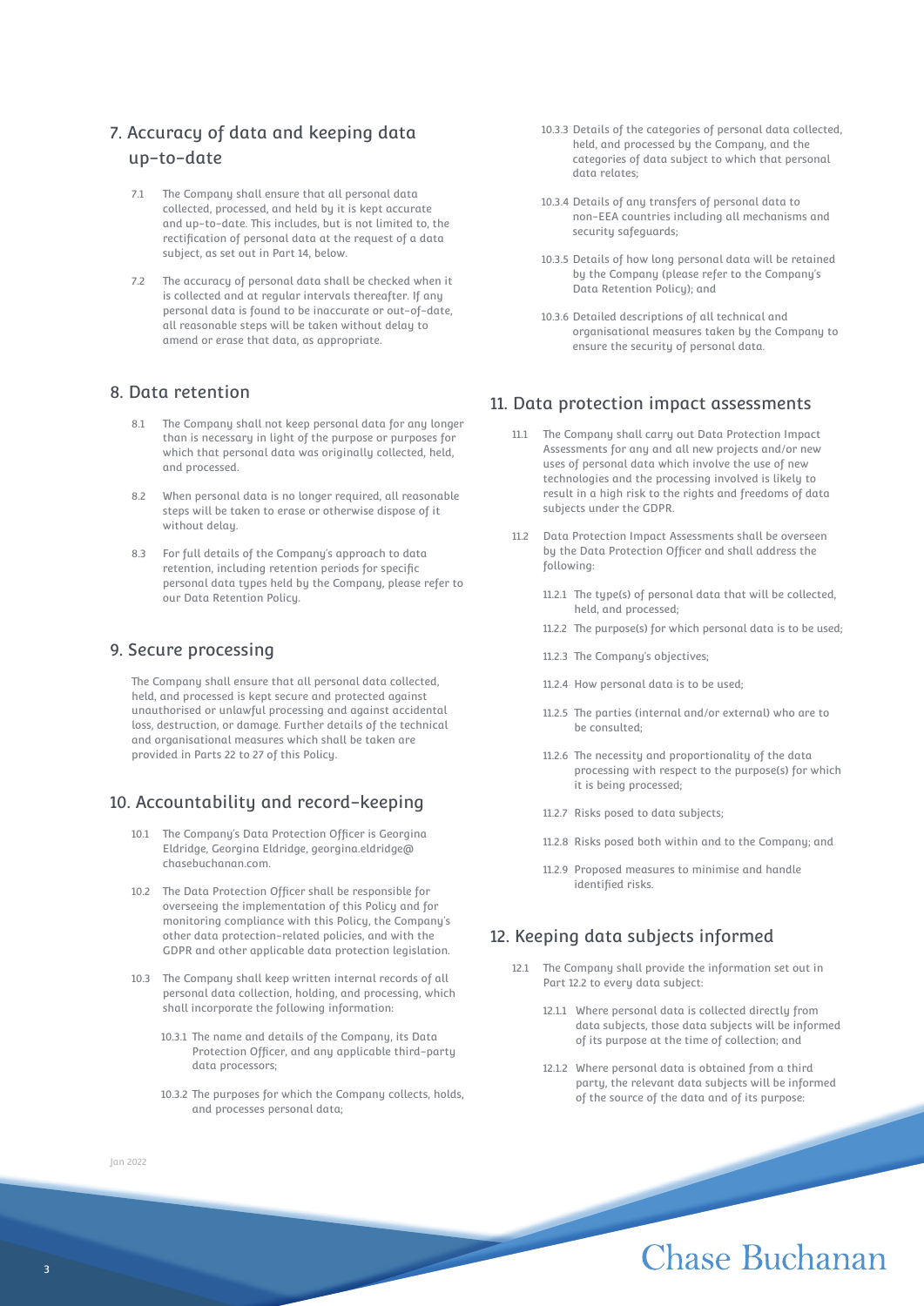## 7. Accuracy of data and keeping data up-to-date

- 7.1 The Company shall ensure that all personal data collected, processed, and held by it is kept accurate and up-to-date. This includes, but is not limited to, the rectification of personal data at the request of a data subject, as set out in Part 14, below.
- 7.2 The accuracy of personal data shall be checked when it is collected and at regular intervals thereafter. If any personal data is found to be inaccurate or out-of-date, all reasonable steps will be taken without delay to amend or erase that data, as appropriate.

### 8. Data retention

- 8.1 The Company shall not keep personal data for any longer than is necessary in light of the purpose or purposes for which that personal data was originally collected, held, and processed.
- 8.2 When personal data is no longer required, all reasonable steps will be taken to erase or otherwise dispose of it without delay.
- 8.3 For full details of the Company's approach to data retention, including retention periods for specific personal data types held by the Company, please refer to our Data Retention Policy.

#### 9. Secure processing

The Company shall ensure that all personal data collected, held, and processed is kept secure and protected against unauthorised or unlawful processing and against accidental loss, destruction, or damage. Further details of the technical and organisational measures which shall be taken are provided in Parts 22 to 27 of this Policy.

### 10. Accountability and record-keeping

- 10.1 The Company's Data Protection Officer is Georgina Eldridge, Georgina Eldridge, georgina.eldridge@ chasebuchanan.com.
- 10.2 The Data Protection Officer shall be responsible for overseeing the implementation of this Policy and for monitoring compliance with this Policy, the Company's other data protection-related policies, and with the GDPR and other applicable data protection legislation.
- 10.3 The Company shall keep written internal records of all personal data collection, holding, and processing, which shall incorporate the following information:
	- 10.3.1 The name and details of the Company, its Data Protection Officer, and any applicable third-party data processors;
	- 10.3.2 The purposes for which the Company collects, holds, and processes personal data;
- 10.3.3 Details of the categories of personal data collected, held, and processed by the Company, and the categories of data subject to which that personal data relates;
- 10.3.4 Details of any transfers of personal data to non-EEA countries including all mechanisms and security safeguards;
- 10.3.5 Details of how long personal data will be retained by the Company (please refer to the Company's Data Retention Policy); and
- 10.3.6 Detailed descriptions of all technical and organisational measures taken by the Company to ensure the security of personal data.

### 11. Data protection impact assessments

- 11.1 The Company shall carry out Data Protection Impact Assessments for any and all new projects and/or new uses of personal data which involve the use of new technologies and the processing involved is likely to result in a high risk to the rights and freedoms of data subjects under the GDPR.
- 11.2 Data Protection Impact Assessments shall be overseen by the Data Protection Officer and shall address the following:
	- 11.2.1 The tupe(s) of personal data that will be collected. held, and processed;
	- 11.2.2 The purpose(s) for which personal data is to be used;
	- 11.2.3 The Company's objectives;
	- 11.2.4 How personal data is to be used;
	- 11.2.5 The parties (internal and/or external) who are to be consulted;
	- 11.2.6 The necessity and proportionality of the data processing with respect to the purpose(s) for which it is being processed;
	- 11.2.7 Risks posed to data subjects;
	- 11.2.8 Risks posed both within and to the Company; and
	- 11.2.9 Proposed measures to minimise and handle identified risks.

## 12. Keeping data subjects informed

- 12.1 The Company shall provide the information set out in Part 12.2 to every data subject:
	- 12.1.1 Where personal data is collected directly from data subjects, those data subjects will be informed of its purpose at the time of collection; and
	- 12.1.2 Where personal data is obtained from a third party, the relevant data subjects will be informed of the source of the data and of its purpose:

#### Jan 2022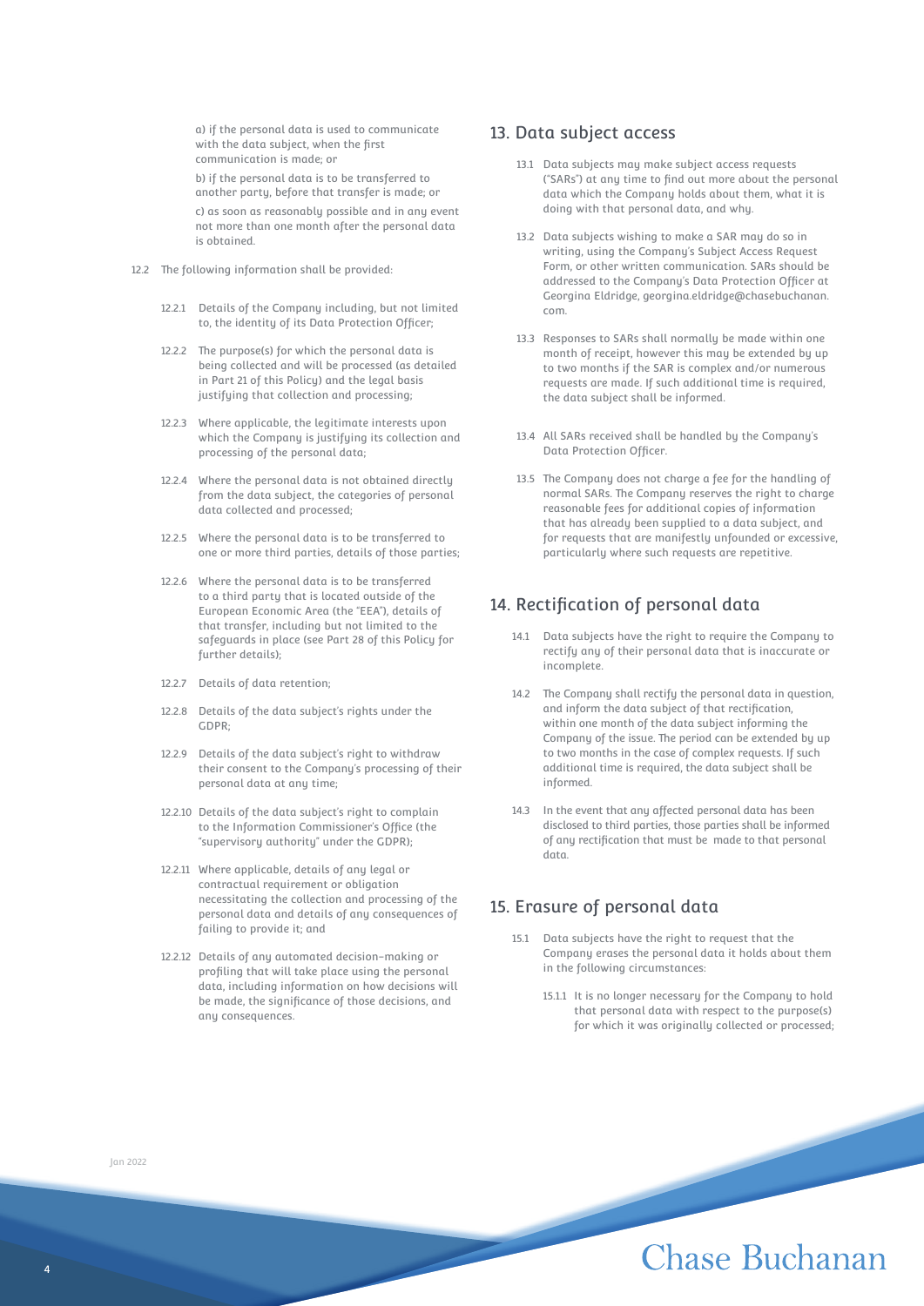a) if the personal data is used to communicate with the data subject, when the first communication is made; or

b) if the personal data is to be transferred to another party, before that transfer is made; or

c) as soon as reasonably possible and in any event not more than one month after the personal data is obtained.

- 12.2 The following information shall be provided:
	- 12.2.1 Details of the Company including, but not limited to, the identity of its Data Protection Officer;
	- 12.2.2 The purpose(s) for which the personal data is being collected and will be processed (as detailed in Part 21 of this Policy) and the legal basis justifying that collection and processing;
	- 12.2.3 Where applicable, the legitimate interests upon which the Company is justifying its collection and processing of the personal data;
	- 12.2.4 Where the personal data is not obtained directly from the data subject, the categories of personal data collected and processed;
	- 12.2.5 Where the personal data is to be transferred to one or more third parties, details of those parties;
	- 12.2.6 Where the personal data is to be transferred to a third party that is located outside of the European Economic Area (the "EEA"), details of that transfer, including but not limited to the safeguards in place (see Part 28 of this Policy for further details);
	- 12.2.7 Details of data retention;
	- 12.2.8 Details of the data subject's rights under the GDPR;
	- 12.2.9 Details of the data subject's right to withdraw their consent to the Company's processing of their personal data at any time;
	- 12.2.10 Details of the data subject's right to complain to the Information Commissioner's Office (the "supervisory authority" under the GDPR);
	- 12.2.11 Where applicable, details of any legal or contractual requirement or obligation necessitating the collection and processing of the personal data and details of any consequences of failing to provide it; and
	- 12.2.12 Details of any automated decision-making or profiling that will take place using the personal data, including information on how decisions will be made, the significance of those decisions, and any consequences.

#### 13. Data subject access

- 13.1 Data subjects may make subject access requests ("SARs") at any time to find out more about the personal data which the Company holds about them, what it is doing with that personal data, and why.
- 13.2 Data subjects wishing to make a SAR may do so in writing, using the Company's Subject Access Request Form, or other written communication. SARs should be addressed to the Company's Data Protection Officer at Georgina Eldridge, georgina.eldridge@chasebuchanan. com.
- 13.3 Responses to SARs shall normally be made within one month of receipt, however this may be extended by up to two months if the SAR is complex and/or numerous requests are made. If such additional time is required, the data subject shall be informed.
- 13.4 All SARs received shall be handled by the Company's Data Protection Officer.
- 13.5 The Company does not charge a fee for the handling of normal SARs. The Company reserves the right to charge reasonable fees for additional copies of information that has already been supplied to a data subject, and for requests that are manifestly unfounded or excessive, particularly where such requests are repetitive.

### 14. Rectification of personal data

- 14.1 Data subjects have the right to require the Company to rectify any of their personal data that is inaccurate or incomplete.
- 14.2 The Company shall rectify the personal data in question, and inform the data subject of that rectification, within one month of the data subject informing the Company of the issue. The period can be extended by up to two months in the case of complex requests. If such additional time is required, the data subject shall be informed.
- 14.3 In the event that any affected personal data has been disclosed to third parties, those parties shall be informed of any rectification that must be made to that personal data.

### 15. Erasure of personal data

- 15.1 Data subjects have the right to request that the Company erases the personal data it holds about them in the following circumstances:
	- 15.1.1 It is no longer necessary for the Company to hold that personal data with respect to the purpose(s) for which it was originally collected or processed;

Jan 2022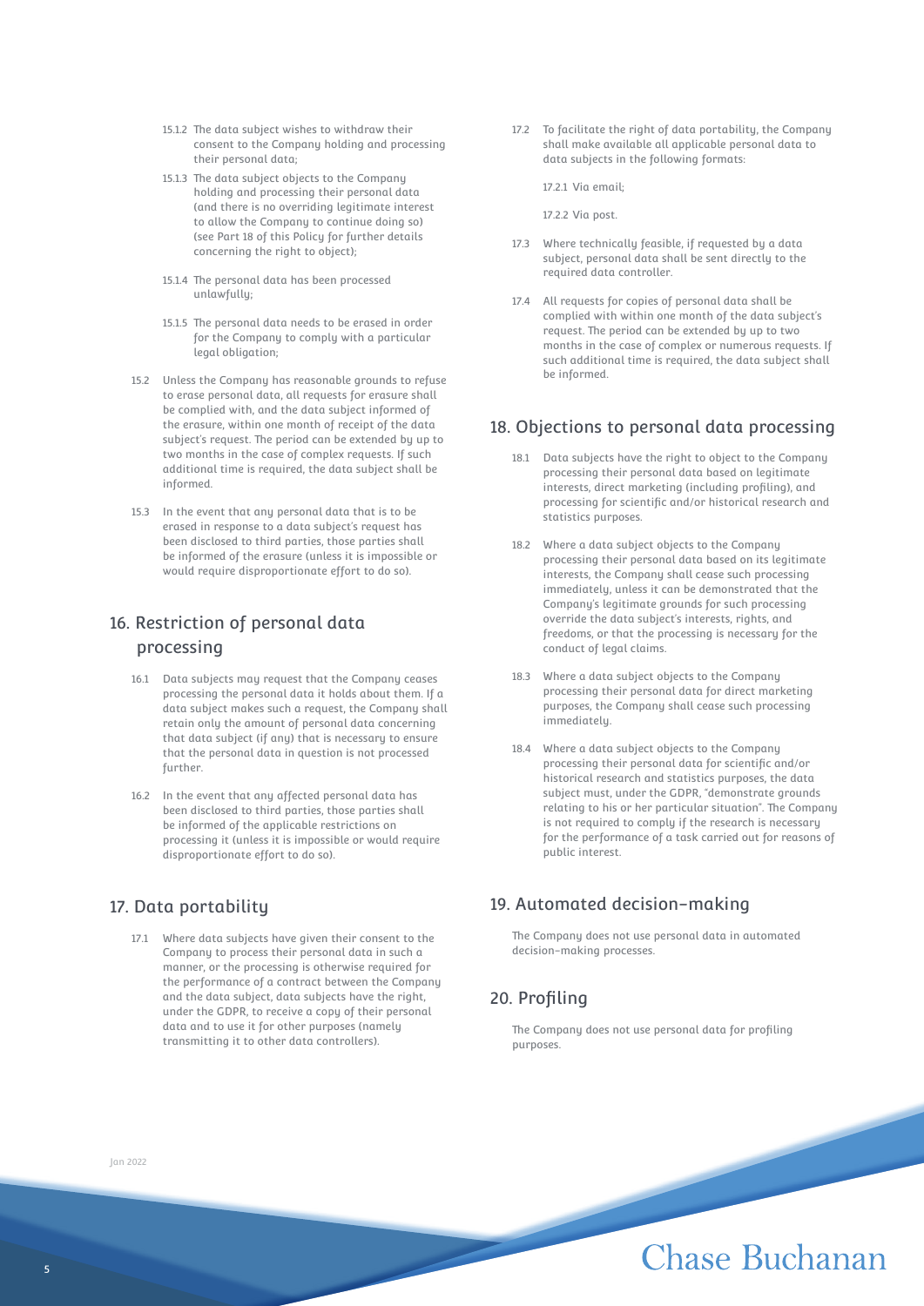- 15.1.2 The data subject wishes to withdraw their consent to the Company holding and processing their personal data;
- 15.1.3 The data subject objects to the Company holding and processing their personal data (and there is no overriding legitimate interest to allow the Company to continue doing so) (see Part 18 of this Policy for further details concerning the right to object);
- 15.1.4 The personal data has been processed unlawfully;
- 15.1.5 The personal data needs to be erased in order for the Company to comply with a particular legal obligation;
- 15.2 Unless the Company has reasonable grounds to refuse to erase personal data, all requests for erasure shall be complied with, and the data subject informed of the erasure, within one month of receipt of the data subject's request. The period can be extended by up to two months in the case of complex requests. If such additional time is required, the data subject shall be informed.
- 15.3 In the event that any personal data that is to be erased in response to a data subject's request has been disclosed to third parties, those parties shall be informed of the erasure (unless it is impossible or would require disproportionate effort to do so).

## 16. Restriction of personal data processing

- 16.1 Data subjects may request that the Company ceases processing the personal data it holds about them. If a data subject makes such a request, the Company shall retain only the amount of personal data concerning that data subject (if any) that is necessary to ensure that the personal data in question is not processed further.
- 16.2 In the event that any affected personal data has been disclosed to third parties, those parties shall be informed of the applicable restrictions on processing it (unless it is impossible or would require disproportionate effort to do so).

## 17. Data portability

17.1 Where data subjects have given their consent to the Company to process their personal data in such a manner, or the processing is otherwise required for the performance of a contract between the Company and the data subject, data subjects have the right, under the GDPR, to receive a copy of their personal data and to use it for other purposes (namely transmitting it to other data controllers).

17.2 To facilitate the right of data portability, the Company shall make available all applicable personal data to data subjects in the following formats:

17.2.1 Via email;

17.2.2 Via post.

- 17.3 Where technically feasible, if requested by a data subject, personal data shall be sent directly to the required data controller.
- 17.4 All requests for copies of personal data shall be complied with within one month of the data subject's request. The period can be extended by up to two months in the case of complex or numerous requests. If such additional time is required, the data subject shall be informed.

### 18. Objections to personal data processing

- 18.1 Data subjects have the right to object to the Company processing their personal data based on legitimate interests, direct marketing (including profiling), and processing for scientific and/or historical research and statistics purposes.
- 18.2 Where a data subject objects to the Company processing their personal data based on its legitimate interests, the Company shall cease such processing immediately, unless it can be demonstrated that the Company's legitimate grounds for such processing override the data subject's interests, rights, and freedoms, or that the processing is necessary for the conduct of legal claims.
- 18.3 Where a data subject objects to the Company processing their personal data for direct marketing purposes, the Company shall cease such processing immediately.
- 18.4 Where a data subject objects to the Company processing their personal data for scientific and/or historical research and statistics purposes, the data subject must, under the GDPR, "demonstrate grounds relating to his or her particular situation". The Company is not required to comply if the research is necessary for the performance of a task carried out for reasons of public interest.

## 19. Automated decision-making

The Company does not use personal data in automated decision-making processes.

## 20. Profiling

The Company does not use personal data for profiling purposes.

Jan 2022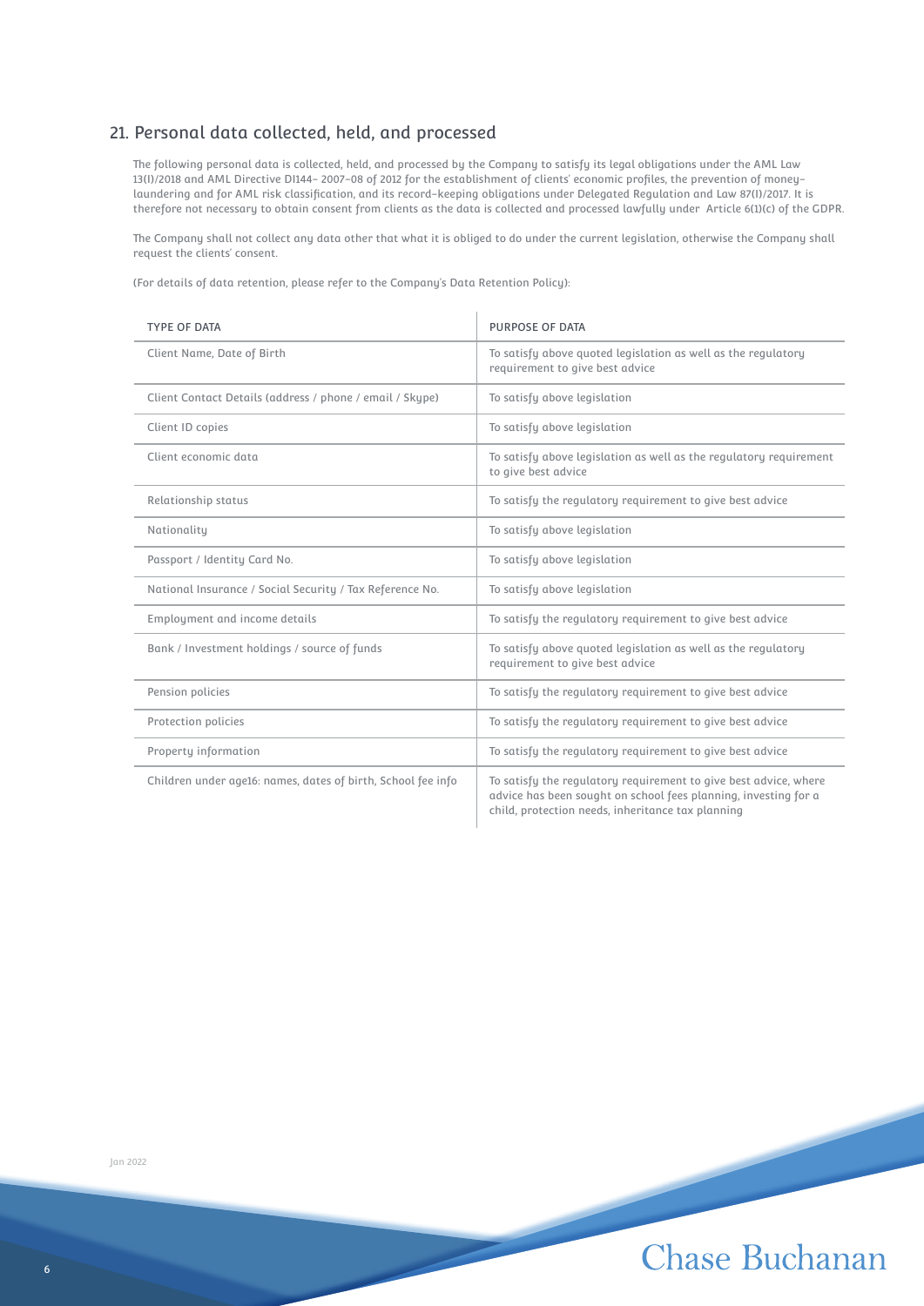## 21. Personal data collected, held, and processed

The following personal data is collected, held, and processed by the Company to satisfy its legal obligations under the AML Law 13(I)/2018 and AML Directive DI144- 2007-08 of 2012 for the establishment of clients' economic profiles, the prevention of moneylaundering and for AML risk classification, and its record-keeping obligations under Delegated Regulation and Law 87(I)/2017. It is therefore not necessary to obtain consent from clients as the data is collected and processed lawfully under Article 6(1)(c) of the GDPR.

The Company shall not collect any data other that what it is obliged to do under the current legislation, otherwise the Company shall request the clients' consent.

(For details of data retention, please refer to the Company's Data Retention Policy):

| <b>TYPE OF DATA</b>                                          | <b>PURPOSE OF DATA</b>                                                                                                                                                                   |
|--------------------------------------------------------------|------------------------------------------------------------------------------------------------------------------------------------------------------------------------------------------|
| Client Name, Date of Birth                                   | To satisfy above quoted legislation as well as the regulatory<br>requirement to give best advice                                                                                         |
| Client Contact Details (address / phone / email / Skype)     | To satisfy above legislation                                                                                                                                                             |
| Client ID copies                                             | To satisfy above legislation                                                                                                                                                             |
| Client economic data                                         | To satisfy above legislation as well as the regulatory requirement<br>to give best advice                                                                                                |
| Relationship status                                          | To satisfy the regulatory requirement to give best advice                                                                                                                                |
| Nationality                                                  | To satisfy above legislation                                                                                                                                                             |
| Passport / Identity Card No.                                 | To satisfy above legislation                                                                                                                                                             |
| National Insurance / Social Security / Tax Reference No.     | To satisfy above legislation                                                                                                                                                             |
| Employment and income details                                | To satisfy the regulatory requirement to give best advice                                                                                                                                |
| Bank / Investment holdings / source of funds                 | To satisfy above quoted legislation as well as the regulatory<br>requirement to give best advice                                                                                         |
| Pension policies                                             | To satisfy the regulatory requirement to give best advice                                                                                                                                |
| Protection policies                                          | To satisfy the regulatory requirement to give best advice                                                                                                                                |
| Property information                                         | To satisfy the regulatory requirement to give best advice                                                                                                                                |
| Children under age16: names, dates of birth, School fee info | To satisfy the regulatory requirement to give best advice, where<br>advice has been sought on school fees planning, investing for a<br>child, protection needs, inheritance tax planning |

Jan 2022

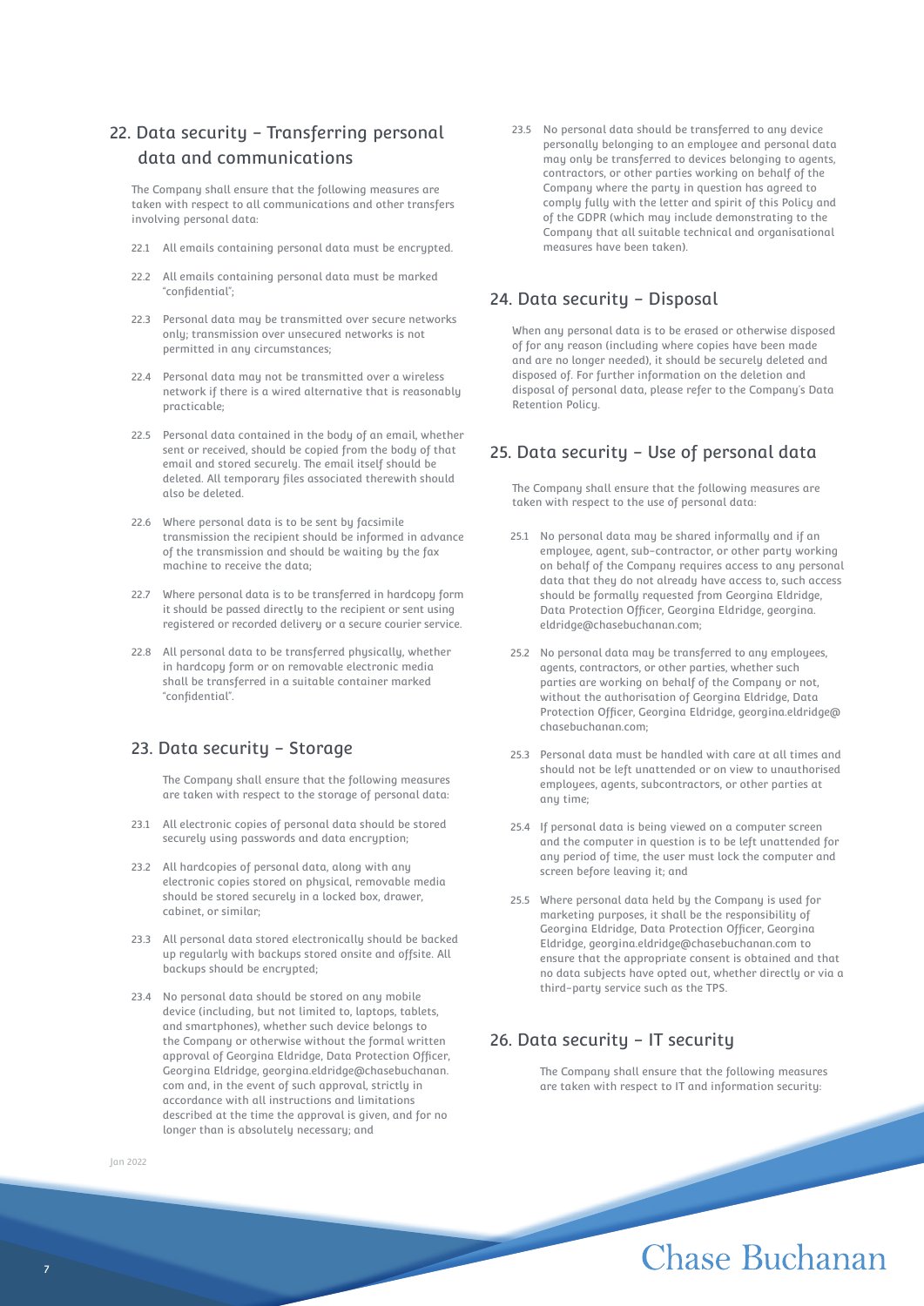## 22. Data security - Transferring personal data and communications

The Company shall ensure that the following measures are taken with respect to all communications and other transfers involving personal data:

- 22.1 All emails containing personal data must be encrypted.
- 22.2 All emails containing personal data must be marked "confidential";
- 22.3 Personal data may be transmitted over secure networks only; transmission over unsecured networks is not permitted in any circumstances;
- 22.4 Personal data may not be transmitted over a wireless network if there is a wired alternative that is reasonably practicable;
- 22.5 Personal data contained in the body of an email, whether sent or received, should be copied from the body of that email and stored securely. The email itself should be deleted. All temporary files associated therewith should also be deleted.
- 22.6 Where personal data is to be sent by facsimile transmission the recipient should be informed in advance of the transmission and should be waiting by the fax machine to receive the data;
- 22.7 Where personal data is to be transferred in hardcopy form it should be passed directly to the recipient or sent using registered or recorded delivery or a secure courier service.
- 22.8 All personal data to be transferred physically, whether in hardcopy form or on removable electronic media shall be transferred in a suitable container marked "confidential".

## 23. Data security - Storage

The Company shall ensure that the following measures are taken with respect to the storage of personal data:

- 23.1 All electronic copies of personal data should be stored securely using passwords and data encryption;
- 23.2 All hardcopies of personal data, along with any electronic copies stored on physical, removable media should be stored securely in a locked box, drawer, cabinet, or similar;
- 23.3 All personal data stored electronically should be backed up regularly with backups stored onsite and offsite. All backups should be encrypted;
- 23.4 No personal data should be stored on any mobile device (including, but not limited to, laptops, tablets, and smartphones), whether such device belongs to the Company or otherwise without the formal written approval of Georgina Eldridge, Data Protection Officer, Georgina Eldridge, georgina.eldridge@chasebuchanan. com and, in the event of such approval, strictly in accordance with all instructions and limitations described at the time the approval is given, and for no longer than is absolutely necessary; and
- Jan 2022

23.5 No personal data should be transferred to any device personally belonging to an employee and personal data may only be transferred to devices belonging to agents, contractors, or other parties working on behalf of the Company where the party in question has agreed to comply fully with the letter and spirit of this Policy and of the GDPR (which may include demonstrating to the Company that all suitable technical and organisational measures have been taken).

### 24. Data security - Disposal

When any personal data is to be erased or otherwise disposed of for any reason (including where copies have been made and are no longer needed), it should be securely deleted and disposed of. For further information on the deletion and disposal of personal data, please refer to the Company's Data Retention Policy.

## 25. Data security - Use of personal data

The Company shall ensure that the following measures are taken with respect to the use of personal data:

- 25.1 No personal data may be shared informally and if an employee, agent, sub-contractor, or other party working on behalf of the Company requires access to any personal data that they do not already have access to, such access should be formally requested from Georgina Eldridge, Data Protection Officer, Georgina Eldridge, georgina. eldridge@chasebuchanan.com;
- 25.2 No personal data may be transferred to any employees, agents, contractors, or other parties, whether such parties are working on behalf of the Company or not, without the authorisation of Georgina Eldridge, Data Protection Officer, Georgina Eldridge, georgina.eldridge@ chasebuchanan.com;
- 25.3 Personal data must be handled with care at all times and should not be left unattended or on view to unauthorised employees, agents, subcontractors, or other parties at any time;
- 25.4 If personal data is being viewed on a computer screen and the computer in question is to be left unattended for any period of time, the user must lock the computer and screen before leaving it; and
- 25.5 Where personal data held by the Company is used for marketing purposes, it shall be the responsibility of Georgina Eldridge, Data Protection Officer, Georgina Eldridge, georgina.eldridge@chasebuchanan.com to ensure that the appropriate consent is obtained and that no data subjects have opted out, whether directly or via a third-party service such as the TPS.

## 26. Data security - IT security

The Company shall ensure that the following measures are taken with respect to IT and information security: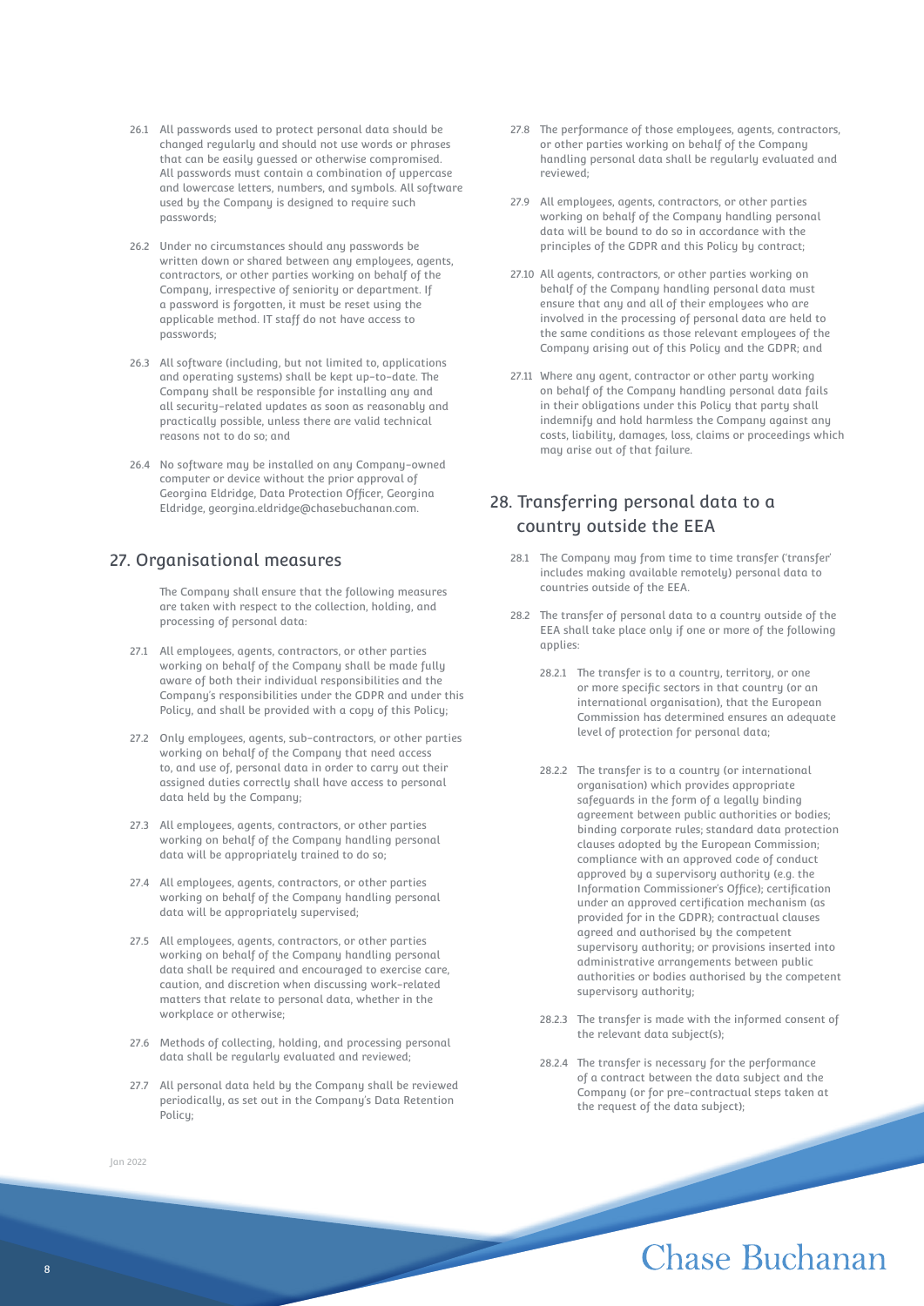- 26.1 All passwords used to protect personal data should be changed regularly and should not use words or phrases that can be easily guessed or otherwise compromised. All passwords must contain a combination of uppercase and lowercase letters, numbers, and sumbols. All software used by the Company is designed to require such passwords;
- 26.2 Under no circumstances should any passwords be written down or shared between any employees, agents, contractors, or other parties working on behalf of the Company, irrespective of seniority or department. If a password is forgotten, it must be reset using the applicable method. IT staff do not have access to passwords;
- 26.3 All software (including, but not limited to, applications and operating systems) shall be kept up-to-date. The Company shall be responsible for installing any and all security-related updates as soon as reasonably and practically possible, unless there are valid technical reasons not to do so; and
- 26.4 No software may be installed on any Company-owned computer or device without the prior approval of Georgina Eldridge, Data Protection Officer, Georgina Eldridge, georgina.eldridge@chasebuchanan.com.

### 27. Organisational measures

The Company shall ensure that the following measures are taken with respect to the collection, holding, and processing of personal data:

- 27.1 All employees, agents, contractors, or other parties working on behalf of the Company shall be made fully aware of both their individual responsibilities and the Company's responsibilities under the GDPR and under this Policy, and shall be provided with a copy of this Policy;
- 27.2 Only employees, agents, sub-contractors, or other parties working on behalf of the Company that need access to, and use of, personal data in order to carry out their assigned duties correctly shall have access to personal data held by the Company;
- 27.3 All employees, agents, contractors, or other parties working on behalf of the Company handling personal data will be appropriately trained to do so;
- 27.4 All employees, agents, contractors, or other parties working on behalf of the Company handling personal data will be appropriately supervised;
- 27.5 All employees, agents, contractors, or other parties working on behalf of the Company handling personal data shall be required and encouraged to exercise care, caution, and discretion when discussing work-related matters that relate to personal data, whether in the workplace or otherwise;
- 27.6 Methods of collecting, holding, and processing personal data shall be regularly evaluated and reviewed;
- 27.7 All personal data held by the Company shall be reviewed periodically, as set out in the Company's Data Retention Policy;
- 27.8 The performance of those employees, agents, contractors, or other parties working on behalf of the Company handling personal data shall be regularly evaluated and reviewed;
- 27.9 All employees, agents, contractors, or other parties working on behalf of the Company handling personal data will be bound to do so in accordance with the principles of the GDPR and this Policy by contract;
- 27.10 All agents, contractors, or other parties working on behalf of the Company handling personal data must ensure that any and all of their employees who are involved in the processing of personal data are held to the same conditions as those relevant employees of the Company arising out of this Policy and the GDPR; and
- 27.11 Where any agent, contractor or other party working on behalf of the Company handling personal data fails in their obligations under this Policy that party shall indemnify and hold harmless the Company against any costs, liability, damages, loss, claims or proceedings which may arise out of that failure.

## 28. Transferring personal data to a country outside the EEA

- 28.1 The Company may from time to time transfer ('transfer' includes making available remotely) personal data to countries outside of the EEA.
- 28.2 The transfer of personal data to a country outside of the EEA shall take place only if one or more of the following applies:
	- 28.2.1 The transfer is to a country, territory, or one or more specific sectors in that country (or an international organisation), that the European Commission has determined ensures an adequate level of protection for personal data;
	- 28.2.2 The transfer is to a country (or international organisation) which provides appropriate safeguards in the form of a legally binding agreement between public authorities or bodies; binding corporate rules; standard data protection clauses adopted by the European Commission; compliance with an approved code of conduct approved by a supervisory authority (e.g. the Information Commissioner's Office); certification under an approved certification mechanism (as provided for in the GDPR); contractual clauses agreed and authorised by the competent supervisory authority; or provisions inserted into administrative arrangements between public authorities or bodies authorised by the competent supervisory authority;
	- 28.2.3 The transfer is made with the informed consent of the relevant data subject(s);
	- 28.2.4 The transfer is necessary for the performance of a contract between the data subject and the Company (or for pre-contractual steps taken at the request of the data subject);

# **Chase Buchanan**

Jan 2022